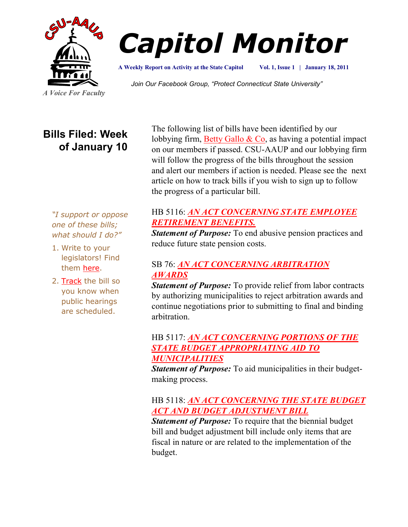



**A Weekly Report on Activity at the State Capitol**

**Vol. 1, Issue 1 | January 18, 2011**

*Join Our Facebook Group, "Protect Connecticut State University"*

# **Bills Filed: Week of January 10**

The following list of bills have been identified by our lobbying firm, [Betty Gallo & Co,](http://www.bettygallo.com/) as having a potential impact on our members if passed. CSU-AAUP and our lobbying firm will follow the progress of the bills throughout the session and alert our members if action is needed. Please see the next article on how to track bills if you wish to sign up to follow the progress of a particular bill.

#### *"I support or oppose one of these bills; what should I do?"*

- 1. Write to your legislators! Find them [here.](http://www.congressweb.com/cweb4/index.cfm?orgcode=BGAUP)
- 2. [Track](http://www.cga.ct.gov/aspx/CGAPublicBillTrack/Register.aspx) the bill so you know when public hearings are scheduled.

### HB 5116: *[AN ACT CONCERNING STATE EMPLOYEE](http://www.cga.ct.gov/2011/TOB/H/2011HB-05116-R00-HB.htm)  [RETIREMENT BENEFITS.](http://www.cga.ct.gov/2011/TOB/H/2011HB-05116-R00-HB.htm)*

*Statement of Purpose:* To end abusive pension practices and reduce future state pension costs.

# SB 76: *[AN ACT CONCERNING ARBITRATION](http://www.cga.ct.gov/2011/TOB/S/2011SB-00076-R00-SB.htm)  [AWARDS](http://www.cga.ct.gov/2011/TOB/S/2011SB-00076-R00-SB.htm)*

*Statement of Purpose:* To provide relief from labor contracts by authorizing municipalities to reject arbitration awards and continue negotiations prior to submitting to final and binding arbitration.

# HB 5117: *[AN ACT CONCERNING PORTIONS OF THE](http://www.cga.ct.gov/2011/TOB/H/2011HB-05117-R00-HB.htm)  [STATE BUDGET APPROPRIATING AID TO](http://www.cga.ct.gov/2011/TOB/H/2011HB-05117-R00-HB.htm)  [MUNICIPALITIES](http://www.cga.ct.gov/2011/TOB/H/2011HB-05117-R00-HB.htm)*

*Statement of Purpose:* To aid municipalities in their budgetmaking process.

## HB 5118: *[AN ACT CONCERNING THE STATE BUDGET](http://www.cga.ct.gov/2011/TOB/H/2011HB-05118-R00-HB.htm)  [ACT AND BUDGET ADJUSTMENT BILL](http://www.cga.ct.gov/2011/TOB/H/2011HB-05118-R00-HB.htm)*

*Statement of Purpose:* To require that the biennial budget bill and budget adjustment bill include only items that are fiscal in nature or are related to the implementation of the budget.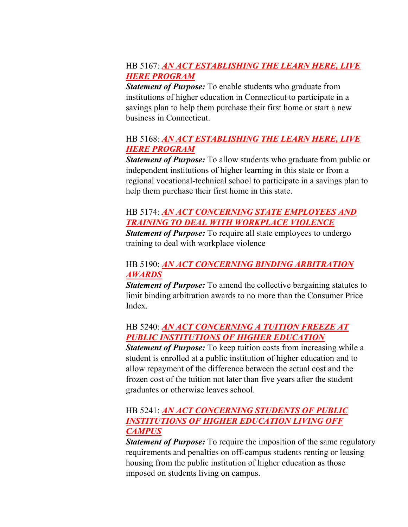### HB 5167: *[AN ACT ESTABLISHING THE LEARN HERE, LIVE](http://www.cga.ct.gov/2011/TOB/H/2011HB-05167-R00-HB.htm)  [HERE PROGRAM](http://www.cga.ct.gov/2011/TOB/H/2011HB-05167-R00-HB.htm)*

*Statement of Purpose:* To enable students who graduate from institutions of higher education in Connecticut to participate in a savings plan to help them purchase their first home or start a new business in Connecticut.

### HB 5168: *[AN ACT ESTABLISHING THE LEARN HERE, LIVE](http://www.cga.ct.gov/2011/TOB/H/2011HB-05168-R00-HB.htm)  [HERE PROGRAM](http://www.cga.ct.gov/2011/TOB/H/2011HB-05168-R00-HB.htm)*

*Statement of Purpose:* To allow students who graduate from public or independent institutions of higher learning in this state or from a regional vocational-technical school to participate in a savings plan to help them purchase their first home in this state.

# HB 5174: *[AN ACT CONCERNING STATE EMPLOYEES AND](http://www.cga.ct.gov/2011/TOB/H/2011HB-05174-R00-HB.htm)  [TRAINING TO DEAL WITH WORKPLACE VIOLENCE](http://www.cga.ct.gov/2011/TOB/H/2011HB-05174-R00-HB.htm)*

*Statement of Purpose:* To require all state employees to undergo training to deal with workplace violence

### HB 5190: *[AN ACT CONCERNING BINDING ARBITRATION](http://www.cga.ct.gov/2011/TOB/H/2011HB-05191-R00-HB.htm)  [AWARDS](http://www.cga.ct.gov/2011/TOB/H/2011HB-05191-R00-HB.htm)*

*Statement of Purpose:* To amend the collective bargaining statutes to limit binding arbitration awards to no more than the Consumer Price Index.

### HB 5240: *[AN ACT CONCERNING A TUITION FREEZE AT](http://www.cga.ct.gov/2011/TOB/H/2011HB-05240-R00-HB.htm)  [PUBLIC INSTITUTIONS OF HIGHER EDUCATION](http://www.cga.ct.gov/2011/TOB/H/2011HB-05240-R00-HB.htm)*

*Statement of Purpose:* To keep tuition costs from increasing while a student is enrolled at a public institution of higher education and to allow repayment of the difference between the actual cost and the frozen cost of the tuition not later than five years after the student graduates or otherwise leaves school.

### HB 5241: *[AN ACT CONCERNING STUDENTS OF PUBLIC](http://www.cga.ct.gov/2011/TOB/H/2011HB-05241-R00-HB.htm)  [INSTITUTIONS OF HIGHER EDUCATION LIVING OFF](http://www.cga.ct.gov/2011/TOB/H/2011HB-05241-R00-HB.htm)  [CAMPUS](http://www.cga.ct.gov/2011/TOB/H/2011HB-05241-R00-HB.htm)*

*Statement of Purpose:* To require the imposition of the same regulatory requirements and penalties on off-campus students renting or leasing housing from the public institution of higher education as those imposed on students living on campus.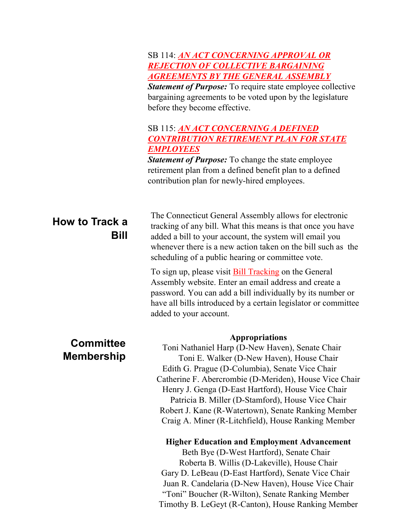#### SB 114: *[AN ACT CONCERNING APPROVAL OR](http://www.cga.ct.gov/2011/TOB/S/2011SB-00114-R00-SB.htm)  [REJECTION OF COLLECTIVE BARGAINING](http://www.cga.ct.gov/2011/TOB/S/2011SB-00114-R00-SB.htm)  [AGREEMENTS BY THE GENERAL ASSEMBLY](http://www.cga.ct.gov/2011/TOB/S/2011SB-00114-R00-SB.htm)*

*Statement of Purpose:* To require state employee collective bargaining agreements to be voted upon by the legislature before they become effective.

#### SB 115: *[AN ACT CONCERNING A DEFINED](http://www.cga.ct.gov/2011/TOB/S/2011SB-00115-R00-SB.htm)  [CONTRIBUTION RETIREMENT PLAN FOR STATE](http://www.cga.ct.gov/2011/TOB/S/2011SB-00115-R00-SB.htm)  [EMPLOYEES](http://www.cga.ct.gov/2011/TOB/S/2011SB-00115-R00-SB.htm)*

*Statement of Purpose:* To change the state employee retirement plan from a defined benefit plan to a defined contribution plan for newly-hired employees.

# **How to Track a Bill**

The Connecticut General Assembly allows for electronic tracking of any bill. What this means is that once you have added a bill to your account, the system will email you whenever there is a new action taken on the bill such as the scheduling of a public hearing or committee vote.

To sign up, please visit [Bill Tracking](http://www.cga.ct.gov/aspx/CGAPublicBillTrack/Register.aspx) on the General Assembly website. Enter an email address and create a password. You can add a bill individually by its number or have all bills introduced by a certain legislator or committee added to your account.

# **Committee Membership**

#### **Appropriations**

Toni Nathaniel Harp (D-New Haven), Senate Chair Toni E. Walker (D-New Haven), House Chair Edith G. Prague (D-Columbia), Senate Vice Chair Catherine F. Abercrombie (D-Meriden), House Vice Chair Henry J. Genga (D-East Hartford), House Vice Chair Patricia B. Miller (D-Stamford), House Vice Chair Robert J. Kane (R-Watertown), Senate Ranking Member Craig A. Miner (R-Litchfield), House Ranking Member

#### **Higher Education and Employment Advancement**

Beth Bye (D-West Hartford), Senate Chair Roberta B. Willis (D-Lakeville), House Chair Gary D. LeBeau (D-East Hartford), Senate Vice Chair Juan R. Candelaria (D-New Haven), House Vice Chair "Toni" Boucher (R-Wilton), Senate Ranking Member Timothy B. LeGeyt (R-Canton), House Ranking Member